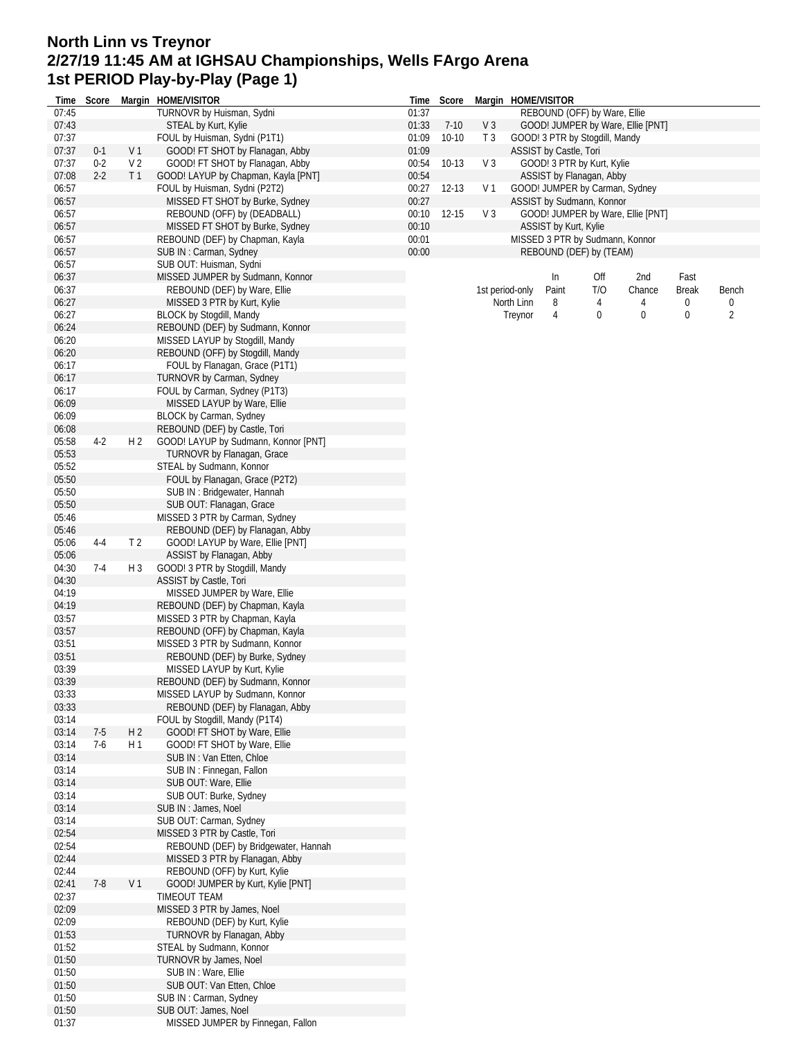## **North Linn vs Treynor 2/27/19 11:45 AM at IGHSAU Championships, Wells FArgo Arena 1st PERIOD Play-by-Play (Page 1)**

| Time           | Score   |                | Margin HOME/VISITOR                                                   | Time           | Score               |                                  | Margin HOME/VISITOR |                        |                                 |                                   |                      |                |
|----------------|---------|----------------|-----------------------------------------------------------------------|----------------|---------------------|----------------------------------|---------------------|------------------------|---------------------------------|-----------------------------------|----------------------|----------------|
| 07:45          |         |                | TURNOVR by Huisman, Sydni                                             | 01:37          |                     |                                  |                     |                        | REBOUND (OFF) by Ware, Ellie    |                                   |                      |                |
| 07:43<br>07:37 |         |                | STEAL by Kurt, Kylie<br>FOUL by Huisman, Sydni (P1T1)                 | 01:33<br>01:09 | $7-10$<br>$10 - 10$ | V <sub>3</sub><br>T <sub>3</sub> |                     |                        | GOOD! 3 PTR by Stogdill, Mandy  | GOOD! JUMPER by Ware, Ellie [PNT] |                      |                |
| 07:37          | $0-1$   | V <sub>1</sub> | GOOD! FT SHOT by Flanagan, Abby                                       | 01:09          |                     |                                  |                     | ASSIST by Castle, Tori |                                 |                                   |                      |                |
| 07:37          | $0 - 2$ | V <sub>2</sub> | GOOD! FT SHOT by Flanagan, Abby                                       | 00:54          | $10-13$             | V <sub>3</sub>                   |                     |                        | GOOD! 3 PTR by Kurt, Kylie      |                                   |                      |                |
| 07:08          | $2-2$   | T <sub>1</sub> | GOOD! LAYUP by Chapman, Kayla [PNT]                                   | 00:54          |                     |                                  |                     |                        | ASSIST by Flanagan, Abby        |                                   |                      |                |
| 06:57          |         |                | FOUL by Huisman, Sydni (P2T2)                                         | 00:27          | 12-13               | V <sub>1</sub>                   |                     |                        | GOOD! JUMPER by Carman, Sydney  |                                   |                      |                |
| 06:57          |         |                | MISSED FT SHOT by Burke, Sydney                                       | 00:27          |                     |                                  |                     |                        | ASSIST by Sudmann, Konnor       |                                   |                      |                |
| 06:57          |         |                | REBOUND (OFF) by (DEADBALL)                                           | 00:10          | $12 - 15$           | $V_3$                            |                     |                        |                                 | GOOD! JUMPER by Ware, Ellie [PNT] |                      |                |
| 06:57          |         |                | MISSED FT SHOT by Burke, Sydney                                       | 00:10          |                     |                                  |                     | ASSIST by Kurt, Kylie  |                                 |                                   |                      |                |
| 06:57          |         |                | REBOUND (DEF) by Chapman, Kayla                                       | 00:01          |                     |                                  |                     |                        | MISSED 3 PTR by Sudmann, Konnor |                                   |                      |                |
| 06:57          |         |                | SUB IN: Carman, Sydney                                                | 00:00          |                     |                                  |                     |                        | REBOUND (DEF) by (TEAM)         |                                   |                      |                |
| 06:57          |         |                | SUB OUT: Huisman, Sydni                                               |                |                     |                                  |                     |                        |                                 |                                   |                      |                |
| 06:37<br>06:37 |         |                | MISSED JUMPER by Sudmann, Konnor<br>REBOUND (DEF) by Ware, Ellie      |                |                     |                                  | 1st period-only     | In<br>Paint            | Off<br>T/O                      | 2nd<br>Chance                     | Fast<br><b>Break</b> | Bench          |
| 06:27          |         |                | MISSED 3 PTR by Kurt, Kylie                                           |                |                     |                                  | North Linn          | 8                      | 4                               | 4                                 | 0                    | 0              |
| 06:27          |         |                | <b>BLOCK by Stogdill, Mandy</b>                                       |                |                     |                                  | Treynor             | 4                      | 0                               | $\bf{0}$                          | 0                    | $\overline{2}$ |
| 06:24          |         |                | REBOUND (DEF) by Sudmann, Konnor                                      |                |                     |                                  |                     |                        |                                 |                                   |                      |                |
| 06:20          |         |                | MISSED LAYUP by Stogdill, Mandy                                       |                |                     |                                  |                     |                        |                                 |                                   |                      |                |
| 06:20          |         |                | REBOUND (OFF) by Stogdill, Mandy                                      |                |                     |                                  |                     |                        |                                 |                                   |                      |                |
| 06:17          |         |                | FOUL by Flanagan, Grace (P1T1)                                        |                |                     |                                  |                     |                        |                                 |                                   |                      |                |
| 06:17          |         |                | TURNOVR by Carman, Sydney                                             |                |                     |                                  |                     |                        |                                 |                                   |                      |                |
| 06:17          |         |                | FOUL by Carman, Sydney (P1T3)                                         |                |                     |                                  |                     |                        |                                 |                                   |                      |                |
| 06:09          |         |                | MISSED LAYUP by Ware, Ellie                                           |                |                     |                                  |                     |                        |                                 |                                   |                      |                |
| 06:09          |         |                | BLOCK by Carman, Sydney                                               |                |                     |                                  |                     |                        |                                 |                                   |                      |                |
| 06:08          |         |                | REBOUND (DEF) by Castle, Tori<br>GOOD! LAYUP by Sudmann, Konnor [PNT] |                |                     |                                  |                     |                        |                                 |                                   |                      |                |
| 05:58<br>05:53 | $4-2$   | H 2            | TURNOVR by Flanagan, Grace                                            |                |                     |                                  |                     |                        |                                 |                                   |                      |                |
| 05:52          |         |                | STEAL by Sudmann, Konnor                                              |                |                     |                                  |                     |                        |                                 |                                   |                      |                |
| 05:50          |         |                | FOUL by Flanagan, Grace (P2T2)                                        |                |                     |                                  |                     |                        |                                 |                                   |                      |                |
| 05:50          |         |                | SUB IN: Bridgewater, Hannah                                           |                |                     |                                  |                     |                        |                                 |                                   |                      |                |
| 05:50          |         |                | SUB OUT: Flanagan, Grace                                              |                |                     |                                  |                     |                        |                                 |                                   |                      |                |
| 05:46          |         |                | MISSED 3 PTR by Carman, Sydney                                        |                |                     |                                  |                     |                        |                                 |                                   |                      |                |
| 05:46          |         |                | REBOUND (DEF) by Flanagan, Abby                                       |                |                     |                                  |                     |                        |                                 |                                   |                      |                |
| 05:06          | $4 - 4$ | T <sub>2</sub> | GOOD! LAYUP by Ware, Ellie [PNT]                                      |                |                     |                                  |                     |                        |                                 |                                   |                      |                |
| 05:06          |         |                | ASSIST by Flanagan, Abby                                              |                |                     |                                  |                     |                        |                                 |                                   |                      |                |
| 04:30          | 7-4     | H 3            | GOOD! 3 PTR by Stogdill, Mandy                                        |                |                     |                                  |                     |                        |                                 |                                   |                      |                |
| 04:30          |         |                | ASSIST by Castle, Tori                                                |                |                     |                                  |                     |                        |                                 |                                   |                      |                |
| 04:19<br>04:19 |         |                | MISSED JUMPER by Ware, Ellie<br>REBOUND (DEF) by Chapman, Kayla       |                |                     |                                  |                     |                        |                                 |                                   |                      |                |
| 03:57          |         |                | MISSED 3 PTR by Chapman, Kayla                                        |                |                     |                                  |                     |                        |                                 |                                   |                      |                |
| 03:57          |         |                | REBOUND (OFF) by Chapman, Kayla                                       |                |                     |                                  |                     |                        |                                 |                                   |                      |                |
| 03:51          |         |                | MISSED 3 PTR by Sudmann, Konnor                                       |                |                     |                                  |                     |                        |                                 |                                   |                      |                |
| 03:51          |         |                | REBOUND (DEF) by Burke, Sydney                                        |                |                     |                                  |                     |                        |                                 |                                   |                      |                |
| 03:39          |         |                | MISSED LAYUP by Kurt, Kylie                                           |                |                     |                                  |                     |                        |                                 |                                   |                      |                |
| 03:39          |         |                | REBOUND (DEF) by Sudmann, Konnor                                      |                |                     |                                  |                     |                        |                                 |                                   |                      |                |
| 03:33          |         |                | MISSED LAYUP by Sudmann, Konnor                                       |                |                     |                                  |                     |                        |                                 |                                   |                      |                |
| 03:33          |         |                | REBOUND (DEF) by Flanagan, Abby                                       |                |                     |                                  |                     |                        |                                 |                                   |                      |                |
| 03:14          |         |                | FOUL by Stogdill, Mandy (P1T4)                                        |                |                     |                                  |                     |                        |                                 |                                   |                      |                |
| 03:14          | $7-5$   | H <sub>2</sub> | GOOD! FT SHOT by Ware, Ellie                                          |                |                     |                                  |                     |                        |                                 |                                   |                      |                |
| 03:14<br>03:14 | $7-6$   | H <sub>1</sub> | GOOD! FT SHOT by Ware, Ellie<br>SUB IN: Van Etten, Chloe              |                |                     |                                  |                     |                        |                                 |                                   |                      |                |
| 03:14          |         |                | SUB IN: Finnegan, Fallon                                              |                |                     |                                  |                     |                        |                                 |                                   |                      |                |
| 03:14          |         |                | SUB OUT: Ware, Ellie                                                  |                |                     |                                  |                     |                        |                                 |                                   |                      |                |
| 03:14          |         |                | SUB OUT: Burke, Sydney                                                |                |                     |                                  |                     |                        |                                 |                                   |                      |                |
| 03:14          |         |                | SUB IN: James, Noel                                                   |                |                     |                                  |                     |                        |                                 |                                   |                      |                |
| 03:14          |         |                | SUB OUT: Carman, Sydney                                               |                |                     |                                  |                     |                        |                                 |                                   |                      |                |
| 02:54          |         |                | MISSED 3 PTR by Castle, Tori                                          |                |                     |                                  |                     |                        |                                 |                                   |                      |                |
| 02:54          |         |                | REBOUND (DEF) by Bridgewater, Hannah                                  |                |                     |                                  |                     |                        |                                 |                                   |                      |                |
| 02:44          |         |                | MISSED 3 PTR by Flanagan, Abby                                        |                |                     |                                  |                     |                        |                                 |                                   |                      |                |
| 02:44          |         |                | REBOUND (OFF) by Kurt, Kylie                                          |                |                     |                                  |                     |                        |                                 |                                   |                      |                |
| 02:41          | $7 - 8$ | V <sub>1</sub> | GOOD! JUMPER by Kurt, Kylie [PNT]                                     |                |                     |                                  |                     |                        |                                 |                                   |                      |                |
| 02:37<br>02:09 |         |                | TIMEOUT TEAM<br>MISSED 3 PTR by James, Noel                           |                |                     |                                  |                     |                        |                                 |                                   |                      |                |
| 02:09          |         |                | REBOUND (DEF) by Kurt, Kylie                                          |                |                     |                                  |                     |                        |                                 |                                   |                      |                |
| 01:53          |         |                | TURNOVR by Flanagan, Abby                                             |                |                     |                                  |                     |                        |                                 |                                   |                      |                |
| 01:52          |         |                | STEAL by Sudmann, Konnor                                              |                |                     |                                  |                     |                        |                                 |                                   |                      |                |
| 01:50          |         |                | TURNOVR by James, Noel                                                |                |                     |                                  |                     |                        |                                 |                                   |                      |                |
| 01:50          |         |                | SUB IN : Ware, Ellie                                                  |                |                     |                                  |                     |                        |                                 |                                   |                      |                |
| 01:50          |         |                | SUB OUT: Van Etten, Chloe                                             |                |                     |                                  |                     |                        |                                 |                                   |                      |                |
| 01:50          |         |                | SUB IN: Carman, Sydney                                                |                |                     |                                  |                     |                        |                                 |                                   |                      |                |
| 01:50          |         |                | SUB OUT: James, Noel                                                  |                |                     |                                  |                     |                        |                                 |                                   |                      |                |
| 01:37          |         |                | MISSED JUMPER by Finnegan, Fallon                                     |                |                     |                                  |                     |                        |                                 |                                   |                      |                |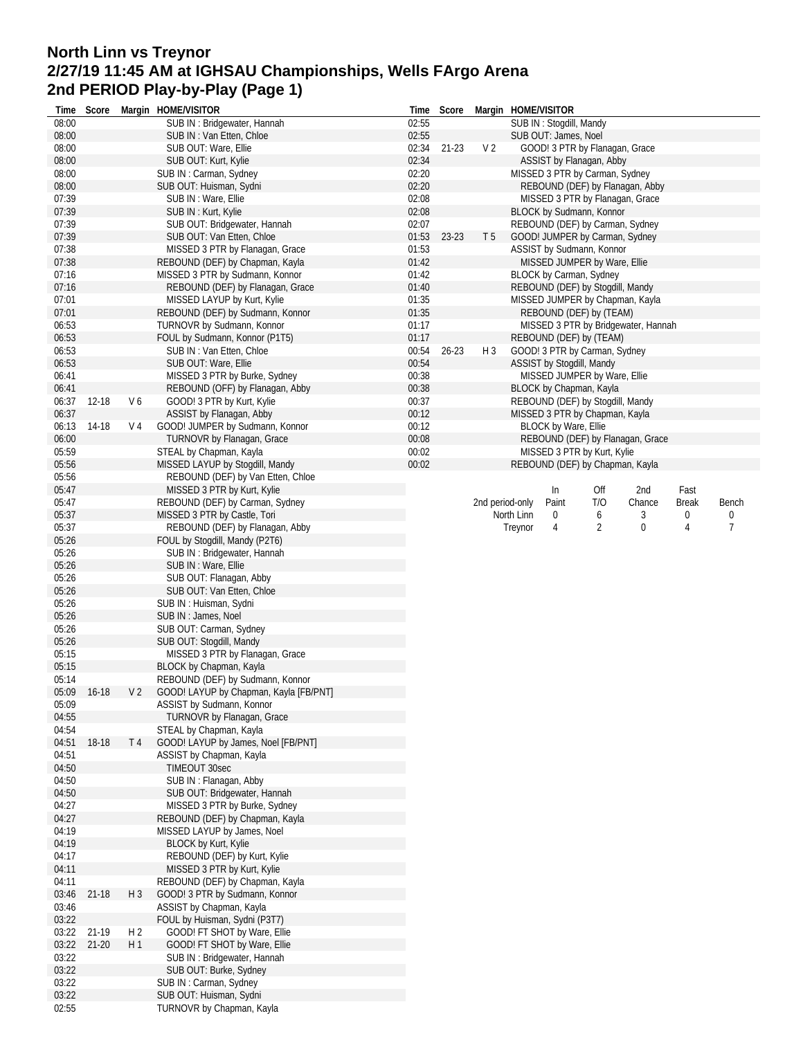## **North Linn vs Treynor 2/27/19 11:45 AM at IGHSAU Championships, Wells FArgo Arena 2nd PERIOD Play-by-Play (Page 1)**

| Time           |       | Score     |                | Margin HOME/VISITOR                                                  | Time           | Score     |                 |            | Margin HOME/VISITOR              |     |                                                                    |              |       |
|----------------|-------|-----------|----------------|----------------------------------------------------------------------|----------------|-----------|-----------------|------------|----------------------------------|-----|--------------------------------------------------------------------|--------------|-------|
| 08:00          |       |           |                | SUB IN: Bridgewater, Hannah                                          | 02:55          |           |                 |            | SUB IN: Stogdill, Mandy          |     |                                                                    |              |       |
| 08:00          |       |           |                | SUB IN: Van Etten, Chloe                                             | 02:55          |           |                 |            | SUB OUT: James, Noel             |     |                                                                    |              |       |
| 08:00          |       |           |                | SUB OUT: Ware, Ellie                                                 | 02:34          | 21-23     | V <sub>2</sub>  |            | GOOD! 3 PTR by Flanagan, Grace   |     |                                                                    |              |       |
| 08:00          |       |           |                | SUB OUT: Kurt, Kylie                                                 | 02:34          |           |                 |            | ASSIST by Flanagan, Abby         |     |                                                                    |              |       |
| 08:00<br>08:00 |       |           |                | SUB IN: Carman, Sydney<br>SUB OUT: Huisman, Sydni                    | 02:20<br>02:20 |           |                 |            | MISSED 3 PTR by Carman, Sydney   |     |                                                                    |              |       |
| 07:39          |       |           |                | SUB IN : Ware, Ellie                                                 | 02:08          |           |                 |            |                                  |     | REBOUND (DEF) by Flanagan, Abby<br>MISSED 3 PTR by Flanagan, Grace |              |       |
| 07:39          |       |           |                | SUB IN: Kurt, Kylie                                                  | 02:08          |           |                 |            | BLOCK by Sudmann, Konnor         |     |                                                                    |              |       |
| 07:39          |       |           |                | SUB OUT: Bridgewater, Hannah                                         | 02:07          |           |                 |            |                                  |     | REBOUND (DEF) by Carman, Sydney                                    |              |       |
| 07:39          |       |           |                | SUB OUT: Van Etten, Chloe                                            | 01:53          | 23-23     | T <sub>5</sub>  |            | GOOD! JUMPER by Carman, Sydney   |     |                                                                    |              |       |
| 07:38          |       |           |                | MISSED 3 PTR by Flanagan, Grace                                      | 01:53          |           |                 |            | ASSIST by Sudmann, Konnor        |     |                                                                    |              |       |
| 07:38          |       |           |                | REBOUND (DEF) by Chapman, Kayla                                      | 01:42          |           |                 |            | MISSED JUMPER by Ware, Ellie     |     |                                                                    |              |       |
| 07:16          |       |           |                | MISSED 3 PTR by Sudmann, Konnor                                      | 01:42          |           |                 |            | BLOCK by Carman, Sydney          |     |                                                                    |              |       |
| 07:16          |       |           |                | REBOUND (DEF) by Flanagan, Grace                                     | 01:40          |           |                 |            | REBOUND (DEF) by Stogdill, Mandy |     |                                                                    |              |       |
| 07:01          |       |           |                | MISSED LAYUP by Kurt, Kylie                                          | 01:35          |           |                 |            |                                  |     | MISSED JUMPER by Chapman, Kayla                                    |              |       |
| 07:01          |       |           |                | REBOUND (DEF) by Sudmann, Konnor                                     | 01:35          |           |                 |            | REBOUND (DEF) by (TEAM)          |     |                                                                    |              |       |
| 06:53          |       |           |                | TURNOVR by Sudmann, Konnor                                           | 01:17          |           |                 |            |                                  |     | MISSED 3 PTR by Bridgewater, Hannah                                |              |       |
| 06:53          |       |           |                | FOUL by Sudmann, Konnor (P1T5)                                       | 01:17          |           |                 |            | REBOUND (DEF) by (TEAM)          |     |                                                                    |              |       |
| 06:53          |       |           |                | SUB IN: Van Etten, Chloe                                             | 00:54          | $26 - 23$ | $H_3$           |            | GOOD! 3 PTR by Carman, Sydney    |     |                                                                    |              |       |
| 06:53          |       |           |                | SUB OUT: Ware, Ellie                                                 | 00:54          |           |                 |            | ASSIST by Stogdill, Mandy        |     |                                                                    |              |       |
| 06:41          |       |           |                | MISSED 3 PTR by Burke, Sydney                                        | 00:38          |           |                 |            | MISSED JUMPER by Ware, Ellie     |     |                                                                    |              |       |
| 06:41          |       |           |                | REBOUND (OFF) by Flanagan, Abby                                      | 00:38          |           |                 |            | BLOCK by Chapman, Kayla          |     |                                                                    |              |       |
| 06:37          |       | 12-18     | V6             | GOOD! 3 PTR by Kurt, Kylie                                           | 00:37          |           |                 |            | REBOUND (DEF) by Stogdill, Mandy |     |                                                                    |              |       |
| 06:37          |       |           |                | ASSIST by Flanagan, Abby                                             | 00:12          |           |                 |            | MISSED 3 PTR by Chapman, Kayla   |     |                                                                    |              |       |
| 06:13          |       | 14-18     | V 4            | GOOD! JUMPER by Sudmann, Konnor                                      | 00:12          |           |                 |            | BLOCK by Ware, Ellie             |     |                                                                    |              |       |
| 06:00          |       |           |                | TURNOVR by Flanagan, Grace                                           | 00:08          |           |                 |            |                                  |     | REBOUND (DEF) by Flanagan, Grace                                   |              |       |
| 05:59<br>05:56 |       |           |                | STEAL by Chapman, Kayla                                              | 00:02          |           |                 |            | MISSED 3 PTR by Kurt, Kylie      |     |                                                                    |              |       |
| 05:56          |       |           |                | MISSED LAYUP by Stogdill, Mandy<br>REBOUND (DEF) by Van Etten, Chloe | 00:02          |           |                 |            | REBOUND (DEF) by Chapman, Kayla  |     |                                                                    |              |       |
| 05:47          |       |           |                | MISSED 3 PTR by Kurt, Kylie                                          |                |           |                 |            | In                               | Off | 2nd                                                                | Fast         |       |
| 05:47          |       |           |                | REBOUND (DEF) by Carman, Sydney                                      |                |           | 2nd period-only |            | Paint                            | T/O | Chance                                                             | <b>Break</b> | Bench |
| 05:37          |       |           |                | MISSED 3 PTR by Castle, Tori                                         |                |           |                 | North Linn | $\boldsymbol{0}$                 | 6   | 3                                                                  | 0            | 0     |
| 05:37          |       |           |                | REBOUND (DEF) by Flanagan, Abby                                      |                |           |                 | Treynor    | 4                                | 2   | 0                                                                  | 4            | 7     |
| 05:26          |       |           |                | FOUL by Stogdill, Mandy (P2T6)                                       |                |           |                 |            |                                  |     |                                                                    |              |       |
| 05:26          |       |           |                | SUB IN: Bridgewater, Hannah                                          |                |           |                 |            |                                  |     |                                                                    |              |       |
| 05:26          |       |           |                | SUB IN : Ware, Ellie                                                 |                |           |                 |            |                                  |     |                                                                    |              |       |
| 05:26          |       |           |                | SUB OUT: Flanagan, Abby                                              |                |           |                 |            |                                  |     |                                                                    |              |       |
| 05:26          |       |           |                | SUB OUT: Van Etten, Chloe                                            |                |           |                 |            |                                  |     |                                                                    |              |       |
| 05:26          |       |           |                | SUB IN: Huisman, Sydni                                               |                |           |                 |            |                                  |     |                                                                    |              |       |
| 05:26<br>05:26 |       |           |                | SUB IN: James, Noel                                                  |                |           |                 |            |                                  |     |                                                                    |              |       |
| 05:26          |       |           |                | SUB OUT: Carman, Sydney<br>SUB OUT: Stogdill, Mandy                  |                |           |                 |            |                                  |     |                                                                    |              |       |
| 05:15          |       |           |                | MISSED 3 PTR by Flanagan, Grace                                      |                |           |                 |            |                                  |     |                                                                    |              |       |
| 05:15          |       |           |                | BLOCK by Chapman, Kayla                                              |                |           |                 |            |                                  |     |                                                                    |              |       |
| 05:14          |       |           |                | REBOUND (DEF) by Sudmann, Konnor                                     |                |           |                 |            |                                  |     |                                                                    |              |       |
| 05:09          |       | 16-18     | V <sub>2</sub> | GOOD! LAYUP by Chapman, Kayla [FB/PNT]                               |                |           |                 |            |                                  |     |                                                                    |              |       |
| 05:09          |       |           |                | ASSIST by Sudmann, Konnor                                            |                |           |                 |            |                                  |     |                                                                    |              |       |
| 04:55          |       |           |                | TURNOVR by Flanagan, Grace                                           |                |           |                 |            |                                  |     |                                                                    |              |       |
| 04:54          |       |           |                | STEAL by Chapman, Kayla                                              |                |           |                 |            |                                  |     |                                                                    |              |       |
| 04:51          |       | 18-18     | T 4            | GOOD! LAYUP by James, Noel [FB/PNT]                                  |                |           |                 |            |                                  |     |                                                                    |              |       |
| 04:51          |       |           |                | ASSIST by Chapman, Kayla                                             |                |           |                 |            |                                  |     |                                                                    |              |       |
| 04:50          |       |           |                | TIMEOUT 30sec                                                        |                |           |                 |            |                                  |     |                                                                    |              |       |
| 04:50<br>04:50 |       |           |                | SUB IN: Flanagan, Abby<br>SUB OUT: Bridgewater, Hannah               |                |           |                 |            |                                  |     |                                                                    |              |       |
| 04:27          |       |           |                | MISSED 3 PTR by Burke, Sydney                                        |                |           |                 |            |                                  |     |                                                                    |              |       |
| 04:27          |       |           |                | REBOUND (DEF) by Chapman, Kayla                                      |                |           |                 |            |                                  |     |                                                                    |              |       |
| 04:19          |       |           |                | MISSED LAYUP by James, Noel                                          |                |           |                 |            |                                  |     |                                                                    |              |       |
| 04:19          |       |           |                | <b>BLOCK by Kurt, Kylie</b>                                          |                |           |                 |            |                                  |     |                                                                    |              |       |
| 04:17          |       |           |                | REBOUND (DEF) by Kurt, Kylie                                         |                |           |                 |            |                                  |     |                                                                    |              |       |
| 04:11          |       |           |                | MISSED 3 PTR by Kurt, Kylie                                          |                |           |                 |            |                                  |     |                                                                    |              |       |
| 04:11          |       |           |                | REBOUND (DEF) by Chapman, Kayla                                      |                |           |                 |            |                                  |     |                                                                    |              |       |
| 03:46          |       | $21 - 18$ | $H_3$          | GOOD! 3 PTR by Sudmann, Konnor                                       |                |           |                 |            |                                  |     |                                                                    |              |       |
| 03:46          |       |           |                | ASSIST by Chapman, Kayla                                             |                |           |                 |            |                                  |     |                                                                    |              |       |
| 03:22          |       |           |                | FOUL by Huisman, Sydni (P3T7)                                        |                |           |                 |            |                                  |     |                                                                    |              |       |
| 03:22          |       | 21-19     | H <sub>2</sub> | GOOD! FT SHOT by Ware, Ellie                                         |                |           |                 |            |                                  |     |                                                                    |              |       |
|                | 03:22 | $21 - 20$ | H1             | GOOD! FT SHOT by Ware, Ellie<br>SUB IN: Bridgewater, Hannah          |                |           |                 |            |                                  |     |                                                                    |              |       |
| 03:22<br>03:22 |       |           |                | SUB OUT: Burke, Sydney                                               |                |           |                 |            |                                  |     |                                                                    |              |       |
| 03:22          |       |           |                | SUB IN: Carman, Sydney                                               |                |           |                 |            |                                  |     |                                                                    |              |       |
| 03:22          |       |           |                | SUB OUT: Huisman, Sydni                                              |                |           |                 |            |                                  |     |                                                                    |              |       |
| 02:55          |       |           |                | TURNOVR by Chapman, Kayla                                            |                |           |                 |            |                                  |     |                                                                    |              |       |
|                |       |           |                |                                                                      |                |           |                 |            |                                  |     |                                                                    |              |       |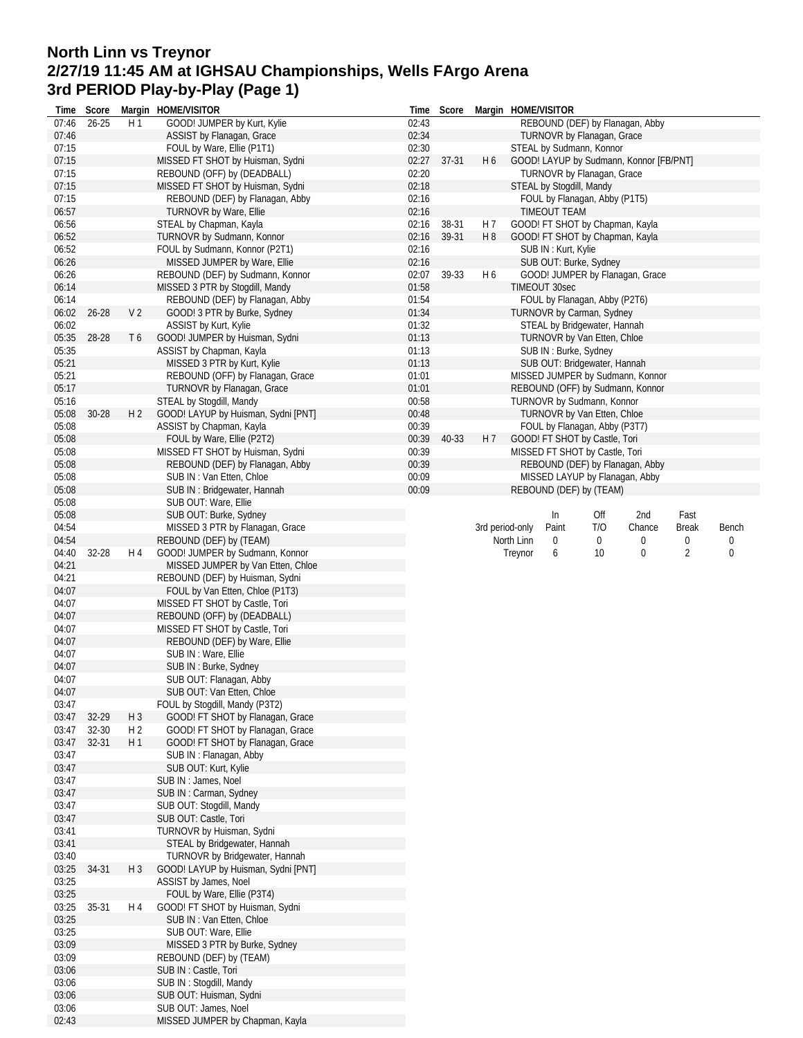## **North Linn vs Treynor 2/27/19 11:45 AM at IGHSAU Championships, Wells FArgo Arena 3rd PERIOD Play-by-Play (Page 1)**

| Time           | Score     |                | Margin HOME/VISITOR                                                | Time           | Score          |                       | Margin HOME/VISITOR                                    |     |        |                |       |
|----------------|-----------|----------------|--------------------------------------------------------------------|----------------|----------------|-----------------------|--------------------------------------------------------|-----|--------|----------------|-------|
| 07:46          | $26 - 25$ | H <sub>1</sub> | GOOD! JUMPER by Kurt, Kylie                                        | 02:43          |                |                       | REBOUND (DEF) by Flanagan, Abby                        |     |        |                |       |
| 07:46          |           |                | ASSIST by Flanagan, Grace                                          | 02:34          |                |                       | TURNOVR by Flanagan, Grace                             |     |        |                |       |
| 07:15          |           |                | FOUL by Ware, Ellie (P1T1)                                         | 02:30          |                |                       | STEAL by Sudmann, Konnor                               |     |        |                |       |
| 07:15          |           |                | MISSED FT SHOT by Huisman, Sydni                                   | 02:27          | $37 - 31$      | H <sub>6</sub>        | GOOD! LAYUP by Sudmann, Konnor [FB/PNT]                |     |        |                |       |
| 07:15          |           |                | REBOUND (OFF) by (DEADBALL)                                        | 02:20          |                |                       | TURNOVR by Flanagan, Grace                             |     |        |                |       |
| 07:15          |           |                | MISSED FT SHOT by Huisman, Sydni                                   | 02:18          |                |                       | STEAL by Stogdill, Mandy                               |     |        |                |       |
| 07:15          |           |                | REBOUND (DEF) by Flanagan, Abby                                    | 02:16          |                |                       | FOUL by Flanagan, Abby (P1T5)                          |     |        |                |       |
| 06:57          |           |                | TURNOVR by Ware, Ellie                                             | 02:16          |                |                       | <b>TIMEOUT TEAM</b>                                    |     |        |                |       |
| 06:56<br>06:52 |           |                | STEAL by Chapman, Kayla                                            | 02:16<br>02:16 | 38-31<br>39-31 | H 7<br>H <sub>8</sub> | GOOD! FT SHOT by Chapman, Kayla                        |     |        |                |       |
| 06:52          |           |                | TURNOVR by Sudmann, Konnor<br>FOUL by Sudmann, Konnor (P2T1)       | 02:16          |                |                       | GOOD! FT SHOT by Chapman, Kayla<br>SUB IN: Kurt, Kylie |     |        |                |       |
| 06:26          |           |                | MISSED JUMPER by Ware, Ellie                                       | 02:16          |                |                       | SUB OUT: Burke, Sydney                                 |     |        |                |       |
| 06:26          |           |                | REBOUND (DEF) by Sudmann, Konnor                                   | 02:07          | 39-33          | H <sub>6</sub>        | GOOD! JUMPER by Flanagan, Grace                        |     |        |                |       |
| 06:14          |           |                | MISSED 3 PTR by Stogdill, Mandy                                    | 01:58          |                |                       | TIMEOUT 30sec                                          |     |        |                |       |
| 06:14          |           |                | REBOUND (DEF) by Flanagan, Abby                                    | 01:54          |                |                       | FOUL by Flanagan, Abby (P2T6)                          |     |        |                |       |
| 06:02          | $26 - 28$ | V <sub>2</sub> | GOOD! 3 PTR by Burke, Sydney                                       | 01:34          |                |                       | TURNOVR by Carman, Sydney                              |     |        |                |       |
| 06:02          |           |                | ASSIST by Kurt, Kylie                                              | 01:32          |                |                       | STEAL by Bridgewater, Hannah                           |     |        |                |       |
| 05:35          | 28-28     | T <sub>6</sub> | GOOD! JUMPER by Huisman, Sydni                                     | 01:13          |                |                       | TURNOVR by Van Etten, Chloe                            |     |        |                |       |
| 05:35          |           |                | ASSIST by Chapman, Kayla                                           | 01:13          |                |                       | SUB IN: Burke, Sydney                                  |     |        |                |       |
| 05:21          |           |                | MISSED 3 PTR by Kurt, Kylie                                        | 01:13          |                |                       | SUB OUT: Bridgewater, Hannah                           |     |        |                |       |
| 05:21          |           |                | REBOUND (OFF) by Flanagan, Grace                                   | 01:01          |                |                       | MISSED JUMPER by Sudmann, Konnor                       |     |        |                |       |
| 05:17          |           |                | TURNOVR by Flanagan, Grace                                         | 01:01          |                |                       | REBOUND (OFF) by Sudmann, Konnor                       |     |        |                |       |
| 05:16          |           |                | STEAL by Stogdill, Mandy                                           | 00:58          |                |                       | TURNOVR by Sudmann, Konnor                             |     |        |                |       |
| 05:08          | 30-28     | H <sub>2</sub> | GOOD! LAYUP by Huisman, Sydni [PNT]                                | 00:48          |                |                       | TURNOVR by Van Etten, Chloe                            |     |        |                |       |
| 05:08          |           |                | ASSIST by Chapman, Kayla                                           | 00:39          |                |                       | FOUL by Flanagan, Abby (P3T7)                          |     |        |                |       |
| 05:08          |           |                | FOUL by Ware, Ellie (P2T2)                                         | 00:39          | 40-33          | H 7                   | GOOD! FT SHOT by Castle, Tori                          |     |        |                |       |
| 05:08          |           |                | MISSED FT SHOT by Huisman, Sydni                                   | 00:39          |                |                       | MISSED FT SHOT by Castle, Tori                         |     |        |                |       |
| 05:08          |           |                | REBOUND (DEF) by Flanagan, Abby                                    | 00:39          |                |                       | REBOUND (DEF) by Flanagan, Abby                        |     |        |                |       |
| 05:08          |           |                | SUB IN: Van Etten, Chloe                                           | 00:09          |                |                       | MISSED LAYUP by Flanagan, Abby                         |     |        |                |       |
| 05:08          |           |                | SUB IN: Bridgewater, Hannah                                        | 00:09          |                |                       | REBOUND (DEF) by (TEAM)                                |     |        |                |       |
| 05:08          |           |                | SUB OUT: Ware, Ellie                                               |                |                |                       |                                                        |     |        |                |       |
| 05:08          |           |                | SUB OUT: Burke, Sydney                                             |                |                |                       | In                                                     | Off | 2nd    | Fast           |       |
| 04:54          |           |                | MISSED 3 PTR by Flanagan, Grace                                    |                |                | 3rd period-only       | Paint                                                  | T/O | Chance | <b>Break</b>   | Bench |
| 04:54          |           |                | REBOUND (DEF) by (TEAM)                                            |                |                |                       | North Linn<br>0                                        | 0   | 0      | 0              | 0     |
| 04:40          | 32-28     | H 4            | GOOD! JUMPER by Sudmann, Konnor                                    |                |                |                       | Treynor<br>6                                           | 10  | 0      | $\overline{2}$ | 0     |
| 04:21<br>04:21 |           |                | MISSED JUMPER by Van Etten, Chloe                                  |                |                |                       |                                                        |     |        |                |       |
| 04:07          |           |                | REBOUND (DEF) by Huisman, Sydni<br>FOUL by Van Etten, Chloe (P1T3) |                |                |                       |                                                        |     |        |                |       |
| 04:07          |           |                | MISSED FT SHOT by Castle, Tori                                     |                |                |                       |                                                        |     |        |                |       |
| 04:07          |           |                | REBOUND (OFF) by (DEADBALL)                                        |                |                |                       |                                                        |     |        |                |       |
| 04:07          |           |                | MISSED FT SHOT by Castle, Tori                                     |                |                |                       |                                                        |     |        |                |       |
| 04:07          |           |                | REBOUND (DEF) by Ware, Ellie                                       |                |                |                       |                                                        |     |        |                |       |
| 04:07          |           |                | SUB IN : Ware, Ellie                                               |                |                |                       |                                                        |     |        |                |       |
| 04:07          |           |                | SUB IN: Burke, Sydney                                              |                |                |                       |                                                        |     |        |                |       |
| 04:07          |           |                | SUB OUT: Flanagan, Abby                                            |                |                |                       |                                                        |     |        |                |       |
| 04:07          |           |                | SUB OUT: Van Etten, Chloe                                          |                |                |                       |                                                        |     |        |                |       |
| 03:47          |           |                | FOUL by Stogdill, Mandy (P3T2)                                     |                |                |                       |                                                        |     |        |                |       |
| 03:47          | 32-29     | $H_3$          | GOOD! FT SHOT by Flanagan, Grace                                   |                |                |                       |                                                        |     |        |                |       |
| 03:47          | 32-30     | H <sub>2</sub> | GOOD! FT SHOT by Flanagan, Grace                                   |                |                |                       |                                                        |     |        |                |       |
| 03:47          | $32 - 31$ | H1             | GOOD! FT SHOT by Flanagan, Grace                                   |                |                |                       |                                                        |     |        |                |       |
| 03:47          |           |                | SUB IN: Flanagan, Abby                                             |                |                |                       |                                                        |     |        |                |       |
| 03:47          |           |                | SUB OUT: Kurt, Kylie                                               |                |                |                       |                                                        |     |        |                |       |
| 03:47          |           |                | SUB IN: James, Noel                                                |                |                |                       |                                                        |     |        |                |       |
| 03:47          |           |                | SUB IN: Carman, Sydney                                             |                |                |                       |                                                        |     |        |                |       |
| 03:47          |           |                | SUB OUT: Stogdill, Mandy                                           |                |                |                       |                                                        |     |        |                |       |
| 03:47          |           |                | SUB OUT: Castle, Tori                                              |                |                |                       |                                                        |     |        |                |       |
| 03:41          |           |                | TURNOVR by Huisman, Sydni                                          |                |                |                       |                                                        |     |        |                |       |
| 03:41          |           |                | STEAL by Bridgewater, Hannah                                       |                |                |                       |                                                        |     |        |                |       |
| 03:40          |           |                | TURNOVR by Bridgewater, Hannah                                     |                |                |                       |                                                        |     |        |                |       |
| 03:25          | 34-31     | H <sub>3</sub> | GOOD! LAYUP by Huisman, Sydni [PNT]                                |                |                |                       |                                                        |     |        |                |       |
| 03:25          |           |                | ASSIST by James, Noel                                              |                |                |                       |                                                        |     |        |                |       |
| 03:25          |           |                | FOUL by Ware, Ellie (P3T4)                                         |                |                |                       |                                                        |     |        |                |       |
| 03:25          | 35-31     | H 4            | GOOD! FT SHOT by Huisman, Sydni                                    |                |                |                       |                                                        |     |        |                |       |
| 03:25<br>03:25 |           |                | SUB IN: Van Etten, Chloe<br>SUB OUT: Ware, Ellie                   |                |                |                       |                                                        |     |        |                |       |
| 03:09          |           |                | MISSED 3 PTR by Burke, Sydney                                      |                |                |                       |                                                        |     |        |                |       |
| 03:09          |           |                | REBOUND (DEF) by (TEAM)                                            |                |                |                       |                                                        |     |        |                |       |
| 03:06          |           |                | SUB IN: Castle, Tori                                               |                |                |                       |                                                        |     |        |                |       |
| 03:06          |           |                | SUB IN: Stogdill, Mandy                                            |                |                |                       |                                                        |     |        |                |       |
| 03:06          |           |                | SUB OUT: Huisman, Sydni                                            |                |                |                       |                                                        |     |        |                |       |
| 03:06          |           |                | SUB OUT: James, Noel                                               |                |                |                       |                                                        |     |        |                |       |
| 02:43          |           |                | MISSED JUMPER by Chapman, Kayla                                    |                |                |                       |                                                        |     |        |                |       |
|                |           |                |                                                                    |                |                |                       |                                                        |     |        |                |       |